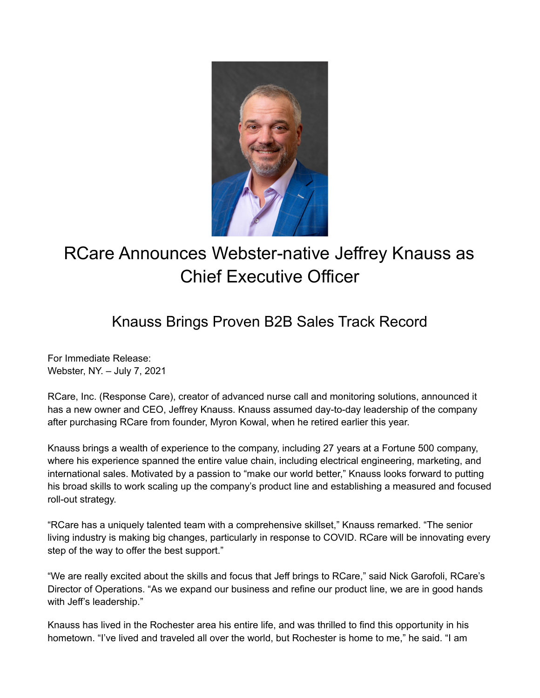

## RCare Announces Webster-native Jeffrey Knauss as Chief Executive Officer

## Knauss Brings Proven B2B Sales Track Record

For Immediate Release: Webster, NY. – July 7, 2021

RCare, Inc. (Response Care), creator of advanced nurse call and monitoring solutions, announced it has a new owner and CEO, Jeffrey Knauss. Knauss assumed day-to-day leadership of the company after purchasing RCare from founder, Myron Kowal, when he retired earlier this year.

Knauss brings a wealth of experience to the company, including 27 years at a Fortune 500 company, where his experience spanned the entire value chain, including electrical engineering, marketing, and international sales. Motivated by a passion to "make our world better," Knauss looks forward to putting his broad skills to work scaling up the company's product line and establishing a measured and focused roll-out strategy.

"RCare has a uniquely talented team with a comprehensive skillset," Knauss remarked. "The senior living industry is making big changes, particularly in response to COVID. RCare will be innovating every step of the way to offer the best support."

"We are really excited about the skills and focus that Jeff brings to RCare," said Nick Garofoli, RCare's Director of Operations. "As we expand our business and refine our product line, we are in good hands with Jeff's leadership."

Knauss has lived in the Rochester area his entire life, and was thrilled to find this opportunity in his hometown. "I've lived and traveled all over the world, but Rochester is home to me," he said. "I am